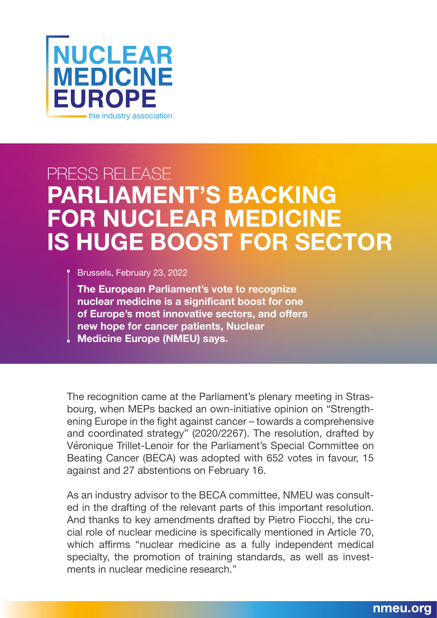

## PRESS RELEASE **PARLIAMENT'S BACKING FOR NUCLEAR MEDICINE IS HUGE BOOST FOR SECTOR**

Brussels, February 23, 2022

**The European Parliament's vote to recognize nuclear medicine is a significant boost for one of Europe's most innovative sectors, and offers new hope for cancer patients, Nuclear Medicine Europe (NMEU) says.** 

The recognition came at the Parliament's plenary meeting in Strasbourg, when MEPs backed an own-initiative opinion on "Strengthening Europe in the fight against cancer – towards a comprehensive and coordinated strategy" (2020/2267). The resolution, drafted by Véronique Trillet-Lenoir for the Parliament's Special Committee on Beating Cancer (BECA) was adopted with 652 votes in favour, 15 against and 27 abstentions on February 16.

As an industry advisor to the BECA committee, NMEU was consulted in the drafting of the relevant parts of this important resolution. And thanks to key amendments drafted by Pietro Fiocchi, the crucial role of nuclear medicine is specifically mentioned in Article 70, which affirms "nuclear medicine as a fully independent medical specialty, the promotion of training standards, as well as investments in nuclear medicine research."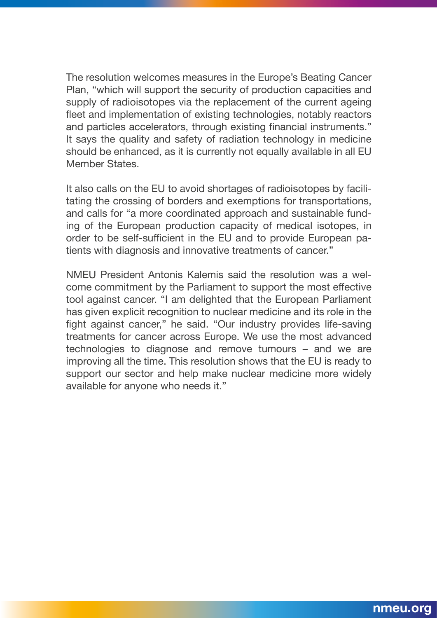The resolution welcomes measures in the Europe's Beating Cancer Plan, "which will support the security of production capacities and supply of radioisotopes via the replacement of the current ageing fleet and implementation of existing technologies, notably reactors and particles accelerators, through existing financial instruments." It says the quality and safety of radiation technology in medicine should be enhanced, as it is currently not equally available in all EU Member States.

It also calls on the EU to avoid shortages of radioisotopes by facilitating the crossing of borders and exemptions for transportations, and calls for "a more coordinated approach and sustainable funding of the European production capacity of medical isotopes, in order to be self-sufficient in the EU and to provide European patients with diagnosis and innovative treatments of cancer."

NMEU President Antonis Kalemis said the resolution was a welcome commitment by the Parliament to support the most effective tool against cancer. "I am delighted that the European Parliament has given explicit recognition to nuclear medicine and its role in the fight against cancer," he said. "Our industry provides life-saving treatments for cancer across Europe. We use the most advanced technologies to diagnose and remove tumours – and we are improving all the time. This resolution shows that the EU is ready to support our sector and help make nuclear medicine more widely available for anyone who needs it."